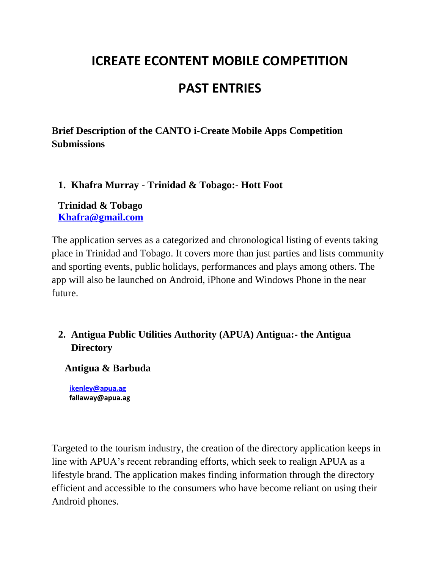# **ICREATE ECONTENT MOBILE COMPETITION**

## **PAST ENTRIES**

**Brief Description of the CANTO i-Create Mobile Apps Competition Submissions** 

**1. Khafra Murray - Trinidad & Tobago:- Hott Foot** 

**Trinidad & Tobago [Khafra@gmail.com](mailto:Khafra@gmail.com)**

The application serves as a categorized and chronological listing of events taking place in Trinidad and Tobago. It covers more than just parties and lists community and sporting events, public holidays, performances and plays among others. The app will also be launched on Android, iPhone and Windows Phone in the near future.

## **2. Antigua Public Utilities Authority (APUA) Antigua:- the Antigua Directory**

**Antigua & Barbuda**

**[ikenley@apua.ag](mailto:ikenley@apua.ag) [fallaway@apua.ag](mailto:fallaway@apua.ag)**

Targeted to the tourism industry, the creation of the directory application keeps in line with APUA"s recent rebranding efforts, which seek to realign APUA as a lifestyle brand. The application makes finding information through the directory efficient and accessible to the consumers who have become reliant on using their Android phones.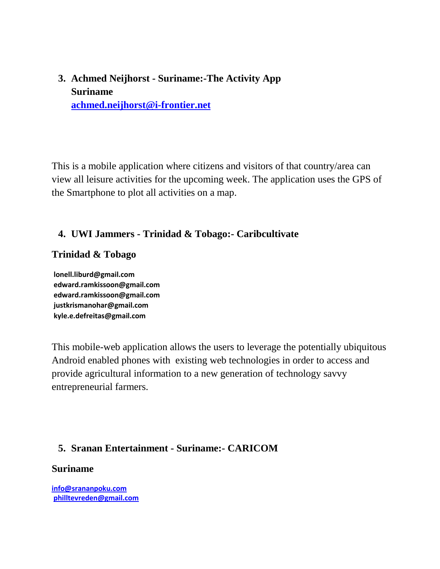## **3. Achmed Neijhorst - Suriname:-The Activity App Suriname [achmed.neijhorst@i-frontier.net](mailto:achmed.neijhorst@i-frontier.net)**

This is a mobile application where citizens and visitors of that country/area can view all leisure activities for the upcoming week. The application uses the GPS of the Smartphone to plot all activities on a map.

#### **4. UWI Jammers - Trinidad & Tobago:- Caribcultivate**

#### **Trinidad & Tobago**

**[lonell.liburd@gmail.com](mailto:lonell.liburd@gmail.com) [edward.ramkissoon@gmail.com](mailto:edward.ramkissoon@gmail.com) [edward.ramkissoon@gmail.com](mailto:edward.ramkissoon@gmail.com) [justkrismanohar@gmail.com](mailto:justkrismanohar@gmail.com) [kyle.e.defreitas@gmail.com](mailto:kyle.e.defreitas@gmail.com)**

This mobile-web application allows the users to leverage the potentially ubiquitous Android enabled phones with existing web technologies in order to access and provide agricultural information to a new generation of technology savvy entrepreneurial farmers.

#### **5. Sranan Entertainment - Suriname:- CARICOM**

#### **Suriname**

**[info@srananpoku.com](mailto:info@srananpoku.com) [philltevreden@gmail.com](mailto:philltevreden@gmail.com)**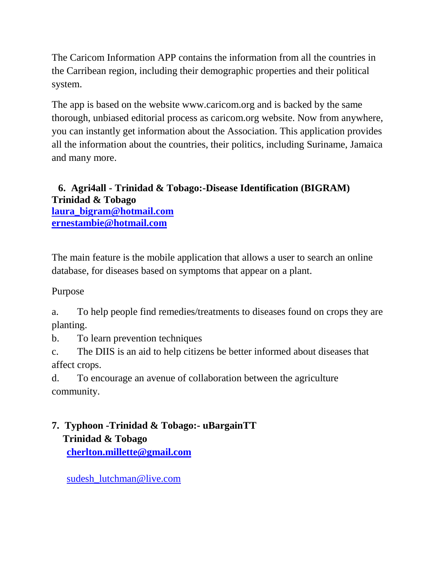The Caricom Information APP contains the information from all the countries in the Carribean region, including their demographic properties and their political system.

The app is based on the website www.caricom.org and is backed by the same thorough, unbiased editorial process as caricom.org website. Now from anywhere, you can instantly get information about the Association. This application provides all the information about the countries, their politics, including Suriname, Jamaica and many more.

#### **6. Agri4all - Trinidad & Tobago:-Disease Identification (BIGRAM) Trinidad & Tobago [laura\\_bigram@hotmail.com](mailto:laura_bigram@hotmail.com) [ernestambie@hotmail.com](mailto:ernestambie@hotmail.com)**

The main feature is the mobile application that allows a user to search an online database, for diseases based on symptoms that appear on a plant.

Purpose

a. To help people find remedies/treatments to diseases found on crops they are planting.

b. To learn prevention techniques

c. The DIIS is an aid to help citizens be better informed about diseases that affect crops.

d. To encourage an avenue of collaboration between the agriculture community.

## **7. Typhoon -Trinidad & Tobago:- uBargainTT Trinidad & Tobago [cherlton.millette@gmail.com](mailto:cherlton.millette@gmail.com)**

sudesh lutchman@live.com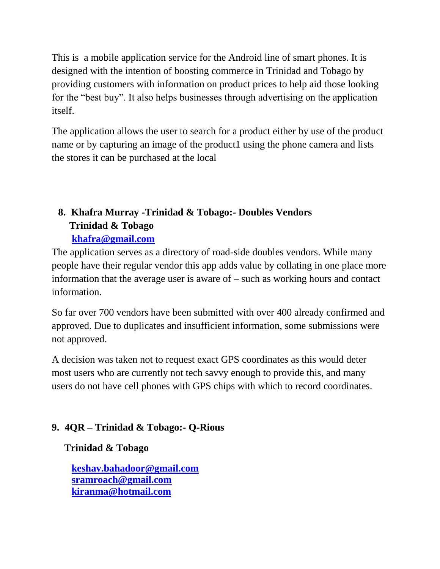This is a mobile application service for the Android line of smart phones. It is designed with the intention of boosting commerce in Trinidad and Tobago by providing customers with information on product prices to help aid those looking for the "best buy". It also helps businesses through advertising on the application itself.

The application allows the user to search for a product either by use of the product name or by capturing an image of the product1 using the phone camera and lists the stores it can be purchased at the local

## **8. Khafra Murray -Trinidad & Tobago:- Doubles Vendors Trinidad & Tobago [khafra@gmail.com](mailto:khafra@gmail.com)**

The application serves as a directory of road-side doubles vendors. While many people have their regular vendor this app adds value by collating in one place more information that the average user is aware of – such as working hours and contact information.

So far over 700 vendors have been submitted with over 400 already confirmed and approved. Due to duplicates and insufficient information, some submissions were not approved.

A decision was taken not to request exact GPS coordinates as this would deter most users who are currently not tech savvy enough to provide this, and many users do not have cell phones with GPS chips with which to record coordinates.

### **9. 4QR – Trinidad & Tobago:- Q-Rious**

### **Trinidad & Tobago**

**[keshav.bahadoor@gmail.com](mailto:keshav.bahadoor@gmail.com) [sramroach@gmail.com](mailto:sramroach@gmail.com) [kiranma@hotmail.com](mailto:kiranma@hotmail.com)**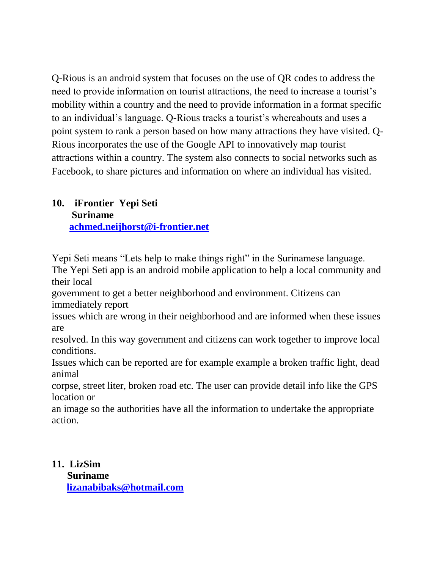Q-Rious is an android system that focuses on the use of QR codes to address the need to provide information on tourist attractions, the need to increase a tourist's mobility within a country and the need to provide information in a format specific to an individual"s language. Q-Rious tracks a tourist"s whereabouts and uses a point system to rank a person based on how many attractions they have visited. Q-Rious incorporates the use of the Google API to innovatively map tourist attractions within a country. The system also connects to social networks such as Facebook, to share pictures and information on where an individual has visited.

#### **10. iFrontier Yepi Seti Suriname [achmed.neijhorst@i-frontier.net](mailto:achmed.neijhorst@i-frontier.net)**

Yepi Seti means "Lets help to make things right" in the Surinamese language. The Yepi Seti app is an android mobile application to help a local community and their local

government to get a better neighborhood and environment. Citizens can immediately report

issues which are wrong in their neighborhood and are informed when these issues are

resolved. In this way government and citizens can work together to improve local conditions.

Issues which can be reported are for example example a broken traffic light, dead animal

corpse, street liter, broken road etc. The user can provide detail info like the GPS location or

an image so the authorities have all the information to undertake the appropriate action.

**11. LizSim Suriname [lizanabibaks@hotmail.com](mailto:lizanabibaks@hotmail.com)**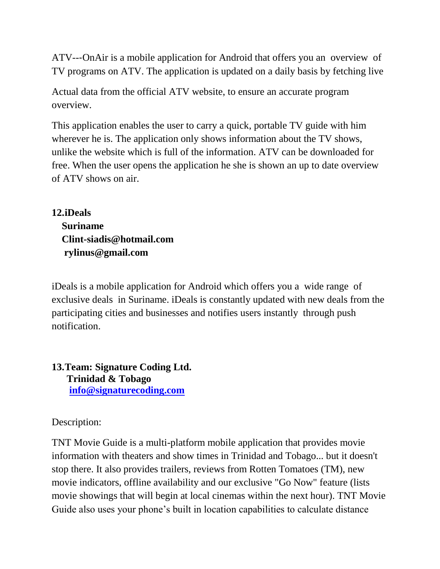ATV--‐OnAir is a mobile application for Android that offers you an overview of TV programs on ATV. The application is updated on a daily basis by fetching live

Actual data from the official ATV website, to ensure an accurate program overview.

This application enables the user to carry a quick, portable TV guide with him wherever he is. The application only shows information about the TV shows, unlike the website which is full of the information. ATV can be downloaded for free. When the user opens the application he she is shown an up to date overview of ATV shows on air.

**12.iDeals Suriname Clint-siadis@hotmail.com rylinus@gmail.com**

iDeals is a mobile application for Android which offers you a wide range of exclusive deals in Suriname. iDeals is constantly updated with new deals from the participating cities and businesses and notifies users instantly through push notification.

**13.Team: Signature Coding Ltd. Trinidad & Tobago [info@signaturecoding.com](mailto:info@signaturecoding.com)**

Description:

TNT Movie Guide is a multi-platform mobile application that provides movie information with theaters and show times in Trinidad and Tobago... but it doesn't stop there. It also provides trailers, reviews from Rotten Tomatoes (TM), new movie indicators, offline availability and our exclusive "Go Now" feature (lists movie showings that will begin at local cinemas within the next hour). TNT Movie Guide also uses your phone"s built in location capabilities to calculate distance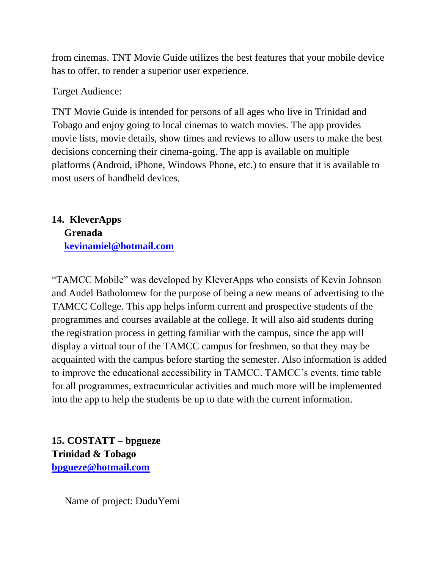from cinemas. TNT Movie Guide utilizes the best features that your mobile device has to offer, to render a superior user experience.

Target Audience:

TNT Movie Guide is intended for persons of all ages who live in Trinidad and Tobago and enjoy going to local cinemas to watch movies. The app provides movie lists, movie details, show times and reviews to allow users to make the best decisions concerning their cinema-going. The app is available on multiple platforms (Android, iPhone, Windows Phone, etc.) to ensure that it is available to most users of handheld devices.

## **14. KleverApps Grenada [kevinamiel@hotmail.com](mailto:kevinamiel@hotmail.com)**

"TAMCC Mobile" was developed by KleverApps who consists of Kevin Johnson and Andel Batholomew for the purpose of being a new means of advertising to the TAMCC College. This app helps inform current and prospective students of the programmes and courses available at the college. It will also aid students during the registration process in getting familiar with the campus, since the app will display a virtual tour of the TAMCC campus for freshmen, so that they may be acquainted with the campus before starting the semester. Also information is added to improve the educational accessibility in TAMCC. TAMCC"s events, time table for all programmes, extracurricular activities and much more will be implemented into the app to help the students be up to date with the current information.

**15. COSTATT – bpgueze Trinidad & Tobago [bpgueze@hotmail.com](mailto:bpgueze@hotmail.com)**

Name of project: DuduYemi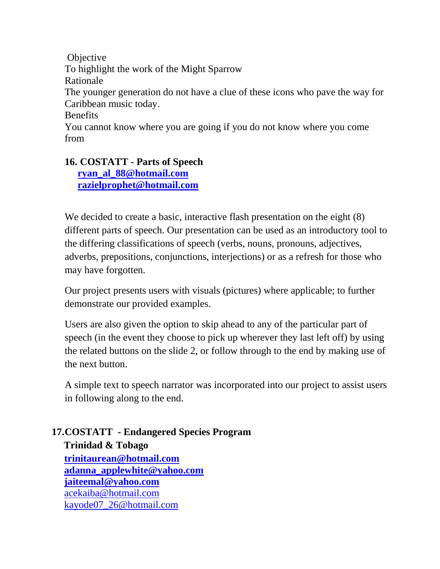**Objective** To highlight the work of the Might Sparrow Rationale The younger generation do not have a clue of these icons who pave the way for Caribbean music today. Benefits You cannot know where you are going if you do not know where you come from

## **16. COSTATT - Parts of Speech**

**[ryan\\_al\\_88@hotmail.com](mailto:ryan_al_88@hotmail.com) [razielprophet@hotmail.com](mailto:razielprophet@hotmail.com)**

We decided to create a basic, interactive flash presentation on the eight (8) different parts of speech. Our presentation can be used as an introductory tool to the differing classifications of speech (verbs, nouns, pronouns, adjectives, adverbs, prepositions, conjunctions, interjections) or as a refresh for those who may have forgotten.

Our project presents users with visuals (pictures) where applicable; to further demonstrate our provided examples.

Users are also given the option to skip ahead to any of the particular part of speech (in the event they choose to pick up wherever they last left off) by using the related buttons on the slide 2, or follow through to the end by making use of the next button.

A simple text to speech narrator was incorporated into our project to assist users in following along to the end.

#### **17.COSTATT - Endangered Species Program Trinidad & Tobago [trinitaurean@hotmail.com](mailto:trinitaurean@hotmail.com) [adanna\\_applewhite@yahoo.com](mailto:adanna_applewhite@yahoo.com) [jaiteemal@yahoo.com](mailto:jaiteemal@yahoo.com)** [acekaiba@hotmail.com](mailto:acekaiba@hotmail.com) [kayode07\\_26@hotmail.com](mailto:kayode07_26@hotmail.com)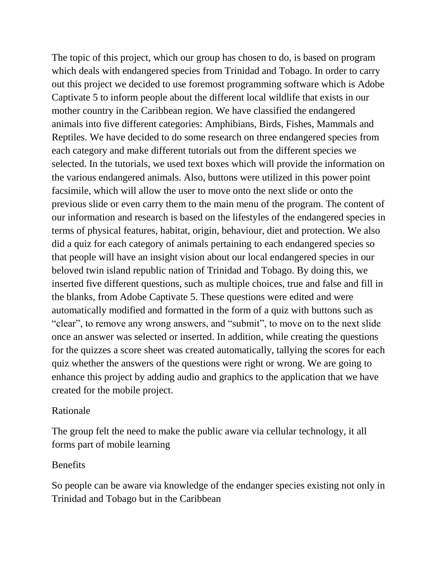The topic of this project, which our group has chosen to do, is based on program which deals with endangered species from Trinidad and Tobago. In order to carry out this project we decided to use foremost programming software which is Adobe Captivate 5 to inform people about the different local wildlife that exists in our mother country in the Caribbean region. We have classified the endangered animals into five different categories: Amphibians, Birds, Fishes, Mammals and Reptiles. We have decided to do some research on three endangered species from each category and make different tutorials out from the different species we selected. In the tutorials, we used text boxes which will provide the information on the various endangered animals. Also, buttons were utilized in this power point facsimile, which will allow the user to move onto the next slide or onto the previous slide or even carry them to the main menu of the program. The content of our information and research is based on the lifestyles of the endangered species in terms of physical features, habitat, origin, behaviour, diet and protection. We also did a quiz for each category of animals pertaining to each endangered species so that people will have an insight vision about our local endangered species in our beloved twin island republic nation of Trinidad and Tobago. By doing this, we inserted five different questions, such as multiple choices, true and false and fill in the blanks, from Adobe Captivate 5. These questions were edited and were automatically modified and formatted in the form of a quiz with buttons such as "clear", to remove any wrong answers, and "submit", to move on to the next slide once an answer was selected or inserted. In addition, while creating the questions for the quizzes a score sheet was created automatically, tallying the scores for each quiz whether the answers of the questions were right or wrong. We are going to enhance this project by adding audio and graphics to the application that we have created for the mobile project.

#### Rationale

The group felt the need to make the public aware via cellular technology, it all forms part of mobile learning

#### Benefits

So people can be aware via knowledge of the endanger species existing not only in Trinidad and Tobago but in the Caribbean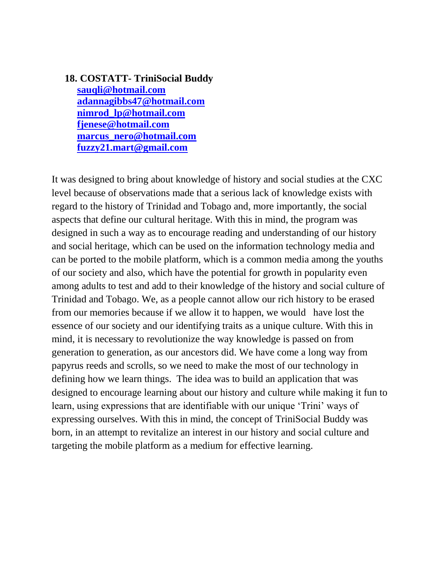#### **18. COSTATT- TriniSocial Buddy [sauqli@hotmail.com](mailto:sauqli@hotmail.com) [adannagibbs47@hotmail.com](mailto:adannagibbs47@hotmail.com) [nimrod\\_lp@hotmail.com](mailto:nimrod_lp@hotmail.com) [fjenese@hotmail.com](mailto:fjenese@hotmail.com) [marcus\\_nero@hotmail.com](mailto:marcus_nero@hotmail.com) [fuzzy21.mart@gmail.com](mailto:fuzzy21.mart@gmail.com)**

It was designed to bring about knowledge of history and social studies at the CXC level because of observations made that a serious lack of knowledge exists with regard to the history of Trinidad and Tobago and, more importantly, the social aspects that define our cultural heritage. With this in mind, the program was designed in such a way as to encourage reading and understanding of our history and social heritage, which can be used on the information technology media and can be ported to the mobile platform, which is a common media among the youths of our society and also, which have the potential for growth in popularity even among adults to test and add to their knowledge of the history and social culture of Trinidad and Tobago. We, as a people cannot allow our rich history to be erased from our memories because if we allow it to happen, we would have lost the essence of our society and our identifying traits as a unique culture. With this in mind, it is necessary to revolutionize the way knowledge is passed on from generation to generation, as our ancestors did. We have come a long way from papyrus reeds and scrolls, so we need to make the most of our technology in defining how we learn things. The idea was to build an application that was designed to encourage learning about our history and culture while making it fun to learn, using expressions that are identifiable with our unique "Trini" ways of expressing ourselves. With this in mind, the concept of TriniSocial Buddy was born, in an attempt to revitalize an interest in our history and social culture and targeting the mobile platform as a medium for effective learning.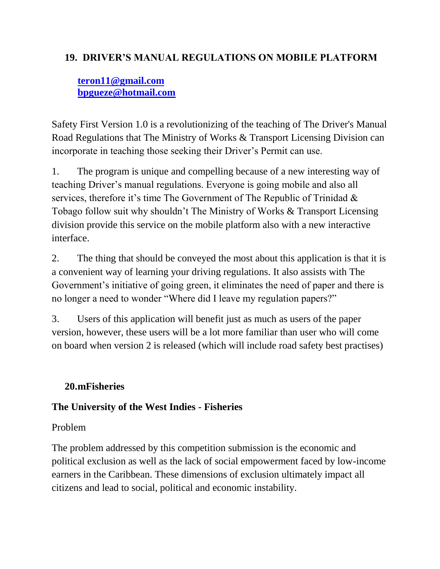#### **19. DRIVER'S MANUAL REGULATIONS ON MOBILE PLATFORM**

## **[teron11@gmail.com](mailto:teron11@gmail.com) [bpgueze@hotmail.com](mailto:bpgueze@hotmail.com)**

Safety First Version 1.0 is a revolutionizing of the teaching of The Driver's Manual Road Regulations that The Ministry of Works & Transport Licensing Division can incorporate in teaching those seeking their Driver's Permit can use.

1. The program is unique and compelling because of a new interesting way of teaching Driver"s manual regulations. Everyone is going mobile and also all services, therefore it's time The Government of The Republic of Trinidad  $\&$ Tobago follow suit why shouldn"t The Ministry of Works & Transport Licensing division provide this service on the mobile platform also with a new interactive interface.

2. The thing that should be conveyed the most about this application is that it is a convenient way of learning your driving regulations. It also assists with The Government's initiative of going green, it eliminates the need of paper and there is no longer a need to wonder "Where did I leave my regulation papers?"

3. Users of this application will benefit just as much as users of the paper version, however, these users will be a lot more familiar than user who will come on board when version 2 is released (which will include road safety best practises)

### **20.mFisheries**

### **The University of the West Indies - Fisheries**

### Problem

The problem addressed by this competition submission is the economic and political exclusion as well as the lack of social empowerment faced by low-income earners in the Caribbean. These dimensions of exclusion ultimately impact all citizens and lead to social, political and economic instability.